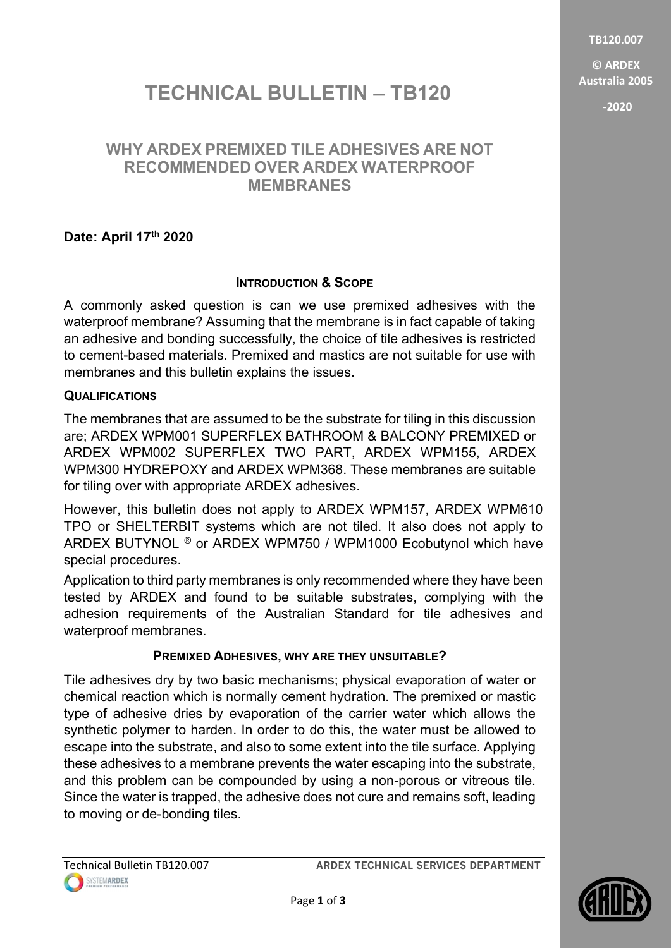TB120.007

© ARDEX Australia 2005

-2020

# TECHNICAL BULLETIN - TB120

## WHY ARDEX PREMIXED TILE ADHESIVES ARE NOT RECOMMENDED OVER ARDEX WATERPROOF **MEMBRANES**

### Date: April 17th 2020

### INTRODUCTION & SCOPE

A commonly asked question is can we use premixed adhesives with the waterproof membrane? Assuming that the membrane is in fact capable of taking an adhesive and bonding successfully, the choice of tile adhesives is restricted to cement-based materials. Premixed and mastics are not suitable for use with membranes and this bulletin explains the issues.

### QUALIFICATIONS

The membranes that are assumed to be the substrate for tiling in this discussion are; ARDEX WPM001 SUPERFLEX BATHROOM & BALCONY PREMIXED or ARDEX WPM002 SUPERFLEX TWO PART, ARDEX WPM155, ARDEX WPM300 HYDREPOXY and ARDEX WPM368. These membranes are suitable for tiling over with appropriate ARDEX adhesives.

However, this bulletin does not apply to ARDEX WPM157, ARDEX WPM610 TPO or SHELTERBIT systems which are not tiled. It also does not apply to ARDEX BUTYNOL ® or ARDEX WPM750 / WPM1000 Ecobutynol which have special procedures.

Application to third party membranes is only recommended where they have been tested by ARDEX and found to be suitable substrates, complying with the adhesion requirements of the Australian Standard for tile adhesives and waterproof membranes.

### PREMIXED ADHESIVES, WHY ARE THEY UNSUITABLE?

Tile adhesives dry by two basic mechanisms; physical evaporation of water or chemical reaction which is normally cement hydration. The premixed or mastic type of adhesive dries by evaporation of the carrier water which allows the synthetic polymer to harden. In order to do this, the water must be allowed to escape into the substrate, and also to some extent into the tile surface. Applying these adhesives to a membrane prevents the water escaping into the substrate, and this problem can be compounded by using a non-porous or vitreous tile. Since the water is trapped, the adhesive does not cure and remains soft, leading to moving or de-bonding tiles.

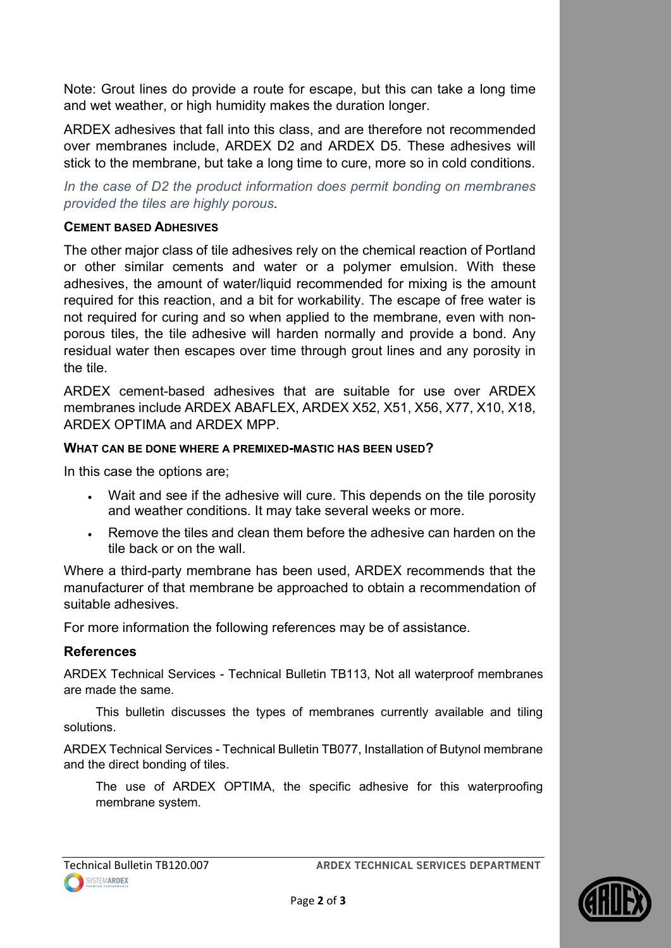Note: Grout lines do provide a route for escape, but this can take a long time and wet weather, or high humidity makes the duration longer.

ARDEX adhesives that fall into this class, and are therefore not recommended over membranes include, ARDEX D2 and ARDEX D5. These adhesives will stick to the membrane, but take a long time to cure, more so in cold conditions.

In the case of D2 the product information does permit bonding on membranes provided the tiles are highly porous.

#### CEMENT BASED ADHESIVES

The other major class of tile adhesives rely on the chemical reaction of Portland or other similar cements and water or a polymer emulsion. With these adhesives, the amount of water/liquid recommended for mixing is the amount required for this reaction, and a bit for workability. The escape of free water is not required for curing and so when applied to the membrane, even with nonporous tiles, the tile adhesive will harden normally and provide a bond. Any residual water then escapes over time through grout lines and any porosity in the tile.

ARDEX cement-based adhesives that are suitable for use over ARDEX membranes include ARDEX ABAFLEX, ARDEX X52, X51, X56, X77, X10, X18, ARDEX OPTIMA and ARDEX MPP.

#### WHAT CAN BE DONE WHERE A PREMIXED-MASTIC HAS BEEN USED?

In this case the options are;

- Wait and see if the adhesive will cure. This depends on the tile porosity and weather conditions. It may take several weeks or more.
- Remove the tiles and clean them before the adhesive can harden on the tile back or on the wall.

Where a third-party membrane has been used, ARDEX recommends that the manufacturer of that membrane be approached to obtain a recommendation of suitable adhesives.

For more information the following references may be of assistance.

### References

ARDEX Technical Services - Technical Bulletin TB113, Not all waterproof membranes are made the same.

This bulletin discusses the types of membranes currently available and tiling solutions.

ARDEX Technical Services - Technical Bulletin TB077, Installation of Butynol membrane and the direct bonding of tiles.

The use of ARDEX OPTIMA, the specific adhesive for this waterproofing membrane system.